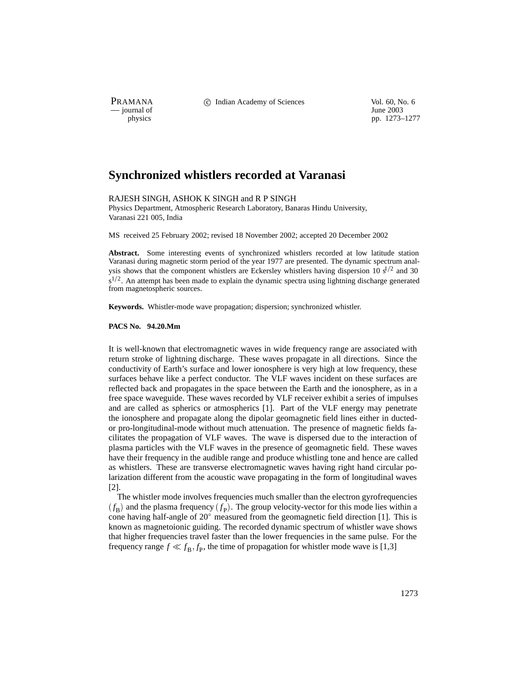$\frac{1}{\text{p}}$  journal of

PRAMANA 
<sup>c</sup> Indian Academy of Sciences 
<sup>Vol. 60, No. 6
<sup>1</sup> June 2003</sup>

pp. 1273–1277

## **Synchronized whistlers recorded at Varanasi**

RAJESH SINGH, ASHOK K SINGH and R P SINGH

Physics Department, Atmospheric Research Laboratory, Banaras Hindu University, Varanasi 221 005, India

MS received 25 February 2002; revised 18 November 2002; accepted 20 December 2002

Abstract. Some interesting events of synchronized whistlers recorded at low latitude station Varanasi during magnetic storm period of the year 1977 are presented. The dynamic spectrum analysis shows that the component whistlers are Eckersley whistlers having dispersion 10  $s^{1/2}$  and 30  $s^{1/2}$ . An attempt has been made to explain the dynamic spectra using lightning discharge generated from magnetospheric sources.

**Keywords.** Whistler-mode wave propagation; dispersion; synchronized whistler.

**PACS No. 94.20.Mm**

It is well-known that electromagnetic waves in wide frequency range are associated with return stroke of lightning discharge. These waves propagate in all directions. Since the conductivity of Earth's surface and lower ionosphere is very high at low frequency, these surfaces behave like a perfect conductor. The VLF waves incident on these surfaces are reflected back and propagates in the space between the Earth and the ionosphere, as in a free space waveguide. These waves recorded by VLF receiver exhibit a series of impulses and are called as spherics or atmospherics [1]. Part of the VLF energy may penetrate the ionosphere and propagate along the dipolar geomagnetic field lines either in ductedor pro-longitudinal-mode without much attenuation. The presence of magnetic fields facilitates the propagation of VLF waves. The wave is dispersed due to the interaction of plasma particles with the VLF waves in the presence of geomagnetic field. These waves have their frequency in the audible range and produce whistling tone and hence are called as whistlers. These are transverse electromagnetic waves having right hand circular polarization different from the acoustic wave propagating in the form of longitudinal waves [2].

The whistler mode involves frequencies much smaller than the electron gyrofrequencies  $(f_B)$  and the plasma frequency  $(f_P)$ . The group velocity-vector for this mode lies within a cone having half-angle of  $20^{\circ}$  measured from the geomagnetic field direction [1]. This is known as magnetoionic guiding. The recorded dynamic spectrum of whistler wave shows that higher frequencies travel faster than the lower frequencies in the same pulse. For the frequency range  $f \ll f_B$ ,  $f_P$ , the time of propagation for whistler mode wave is [1,3]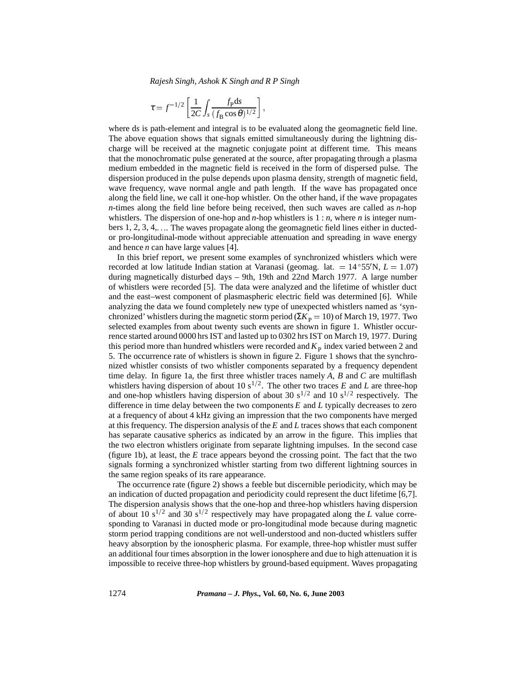*Rajesh Singh, Ashok K Singh and R P Singh*

$$
\tau = f^{-1/2} \left[ \frac{1}{2C} \int_S \frac{f_{\rm p} ds}{(f_{\rm B} \cos \theta)^{1/2}} \right],
$$

where d*s* is path-element and integral is to be evaluated along the geomagnetic field line. The above equation shows that signals emitted simultaneously during the lightning discharge will be received at the magnetic conjugate point at different time. This means that the monochromatic pulse generated at the source, after propagating through a plasma medium embedded in the magnetic field is received in the form of dispersed pulse. The dispersion produced in the pulse depends upon plasma density, strength of magnetic field, wave frequency, wave normal angle and path length. If the wave has propagated once along the field line, we call it one-hop whistler. On the other hand, if the wave propagates *n*-times along the field line before being received, then such waves are called as *n*-hop whistlers. The dispersion of one-hop and *n*-hop whistlers is 1 : *n*, where *n* is integer numbers  $1, 2, 3, 4, \ldots$ . The waves propagate along the geomagnetic field lines either in ductedor pro-longitudinal-mode without appreciable attenuation and spreading in wave energy and hence *n* can have large values [4].

In this brief report, we present some examples of synchronized whistlers which were recorded at low latitude Indian station at Varanasi (geomag. lat.  $= 14^{\circ}55^{\prime}N$ ,  $L = 1.07$ ) during magnetically disturbed days – 9th, 19th and 22nd March 1977. A large number of whistlers were recorded [5]. The data were analyzed and the lifetime of whistler duct and the east–west component of plasmaspheric electric field was determined [6]. While analyzing the data we found completely new type of unexpected whistlers named as 'synchronized' whistlers during the magnetic storm period ( $\Sigma K_{\rm p} = 10$ ) of March 19, 1977. Two selected examples from about twenty such events are shown in figure 1. Whistler occurrence started around 0000 hrs IST and lasted up to 0302 hrs IST on March 19, 1977. During this period more than hundred whistlers were recorded and  $K<sub>P</sub>$  index varied between 2 and 5. The occurrence rate of whistlers is shown in figure 2. Figure 1 shows that the synchronized whistler consists of two whistler components separated by a frequency dependent time delay. In figure 1a, the first three whistler traces namely *A*, *B* and *C* are multiflash whistlers having dispersion of about 10 s<sup>1/2</sup>. The other two traces *E* and *L* are three-hop and one-hop whistlers having dispersion of about 30 s<sup>1/2</sup> and 10 s<sup>1/2</sup> respectively. The difference in time delay between the two components *E* and *L* typically decreases to zero at a frequency of about 4 kHz giving an impression that the two components have merged at this frequency. The dispersion analysis of the *E* and *L* traces shows that each component has separate causative spherics as indicated by an arrow in the figure. This implies that the two electron whistlers originate from separate lightning impulses. In the second case (figure 1b), at least, the *E* trace appears beyond the crossing point. The fact that the two signals forming a synchronized whistler starting from two different lightning sources in the same region speaks of its rare appearance.

The occurrence rate (figure 2) shows a feeble but discernible periodicity, which may be an indication of ducted propagation and periodicity could represent the duct lifetime [6,7]. The dispersion analysis shows that the one-hop and three-hop whistlers having dispersion of about 10 s<sup>1/2</sup> and 30 s<sup>1/2</sup> respectively may have propagated along the *L* value corresponding to Varanasi in ducted mode or pro-longitudinal mode because during magnetic storm period trapping conditions are not well-understood and non-ducted whistlers suffer heavy absorption by the ionospheric plasma. For example, three-hop whistler must suffer an additional four times absorption in the lower ionosphere and due to high attenuation it is impossible to receive three-hop whistlers by ground-based equipment. Waves propagating

1274 *Pramana – J. Phys.,* **Vol. 60, No. 6, June 2003**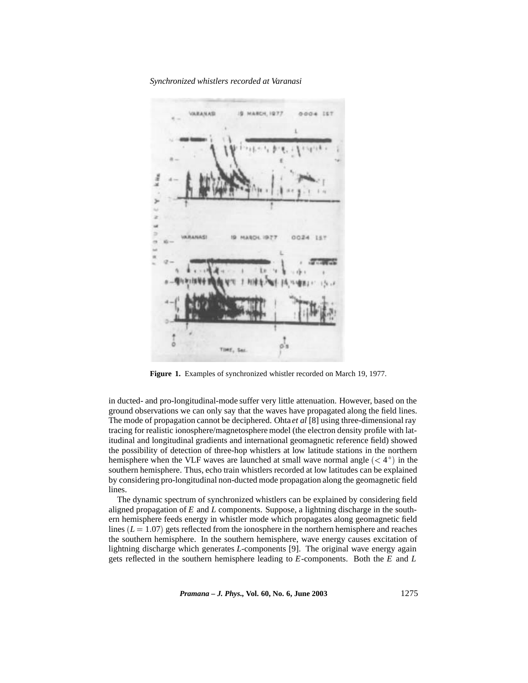*Synchronized whistlers recorded at Varanasi*



**Figure 1.** Examples of synchronized whistler recorded on March 19, 1977.

in ducted- and pro-longitudinal-mode suffer very little attenuation. However, based on the ground observations we can only say that the waves have propagated along the field lines. The mode of propagation cannot be deciphered. Ohta *et al* [8] using three-dimensional ray tracing for realistic ionosphere/magnetosphere model (the electron density profile with latitudinal and longitudinal gradients and international geomagnetic reference field) showed the possibility of detection of three-hop whistlers at low latitude stations in the northern hemisphere when the VLF waves are launched at small wave normal angle  $(< 4^{\circ})$  in the southern hemisphere. Thus, echo train whistlers recorded at low latitudes can be explained by considering pro-longitudinal non-ducted mode propagation along the geomagnetic field lines.

The dynamic spectrum of synchronized whistlers can be explained by considering field aligned propagation of *E* and *L* components. Suppose, a lightning discharge in the southern hemisphere feeds energy in whistler mode which propagates along geomagnetic field lines  $(L = 1.07)$  gets reflected from the ionosphere in the northern hemisphere and reaches the southern hemisphere. In the southern hemisphere, wave energy causes excitation of lightning discharge which generates *L*-components [9]. The original wave energy again gets reflected in the southern hemisphere leading to *E*-components. Both the *E* and *L*

*Pramana – J. Phys.,* **Vol. 60, No. 6, June 2003** 1275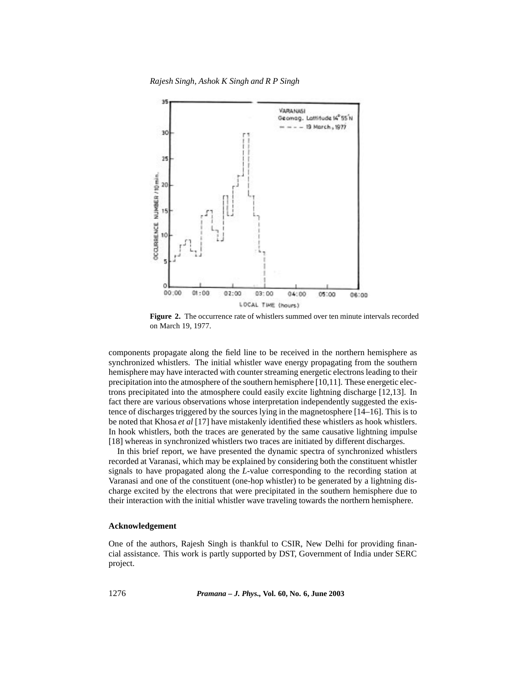*Rajesh Singh, Ashok K Singh and R P Singh*



**Figure 2.** The occurrence rate of whistlers summed over ten minute intervals recorded on March 19, 1977.

components propagate along the field line to be received in the northern hemisphere as synchronized whistlers. The initial whistler wave energy propagating from the southern hemisphere may have interacted with counter streaming energetic electrons leading to their precipitation into the atmosphere of the southern hemisphere [10,11]. These energetic electrons precipitated into the atmosphere could easily excite lightning discharge [12,13]. In fact there are various observations whose interpretation independently suggested the existence of discharges triggered by the sources lying in the magnetosphere [14–16]. This is to be noted that Khosa *et al* [17] have mistakenly identified these whistlers as hook whistlers. In hook whistlers, both the traces are generated by the same causative lightning impulse [18] whereas in synchronized whistlers two traces are initiated by different discharges.

In this brief report, we have presented the dynamic spectra of synchronized whistlers recorded at Varanasi, which may be explained by considering both the constituent whistler signals to have propagated along the *L*-value corresponding to the recording station at Varanasi and one of the constituent (one-hop whistler) to be generated by a lightning discharge excited by the electrons that were precipitated in the southern hemisphere due to their interaction with the initial whistler wave traveling towards the northern hemisphere.

## **Acknowledgement**

One of the authors, Rajesh Singh is thankful to CSIR, New Delhi for providing financial assistance. This work is partly supported by DST, Government of India under SERC project.

1276 *Pramana – J. Phys.,* **Vol. 60, No. 6, June 2003**